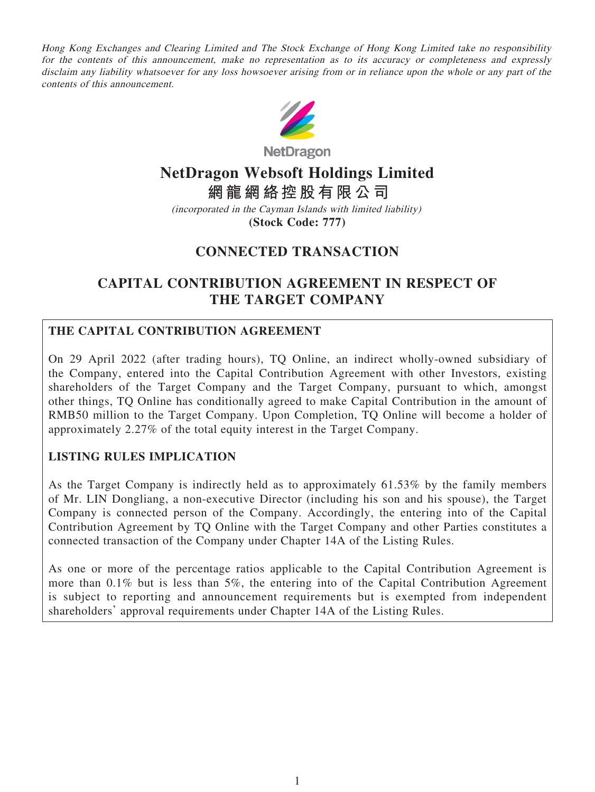Hong Kong Exchanges and Clearing Limited and The Stock Exchange of Hong Kong Limited take no responsibility for the contents of this announcement, make no representation as to its accuracy or completeness and expressly disclaim any liability whatsoever for any loss howsoever arising from or in reliance upon the whole or any part of the contents of this announcement.



**NetDragon** 

## **NetDragon Websoft Holdings Limited**

**網龍網絡控股有限公司**

(incorporated in the Cayman Islands with limited liability) **(Stock Code: 777)**

# **CONNECTED TRANSACTION**

### **CAPITAL CONTRIBUTION AGREEMENT IN RESPECT OF THE TARGET COMPANY**

#### **THE CAPITAL CONTRIBUTION AGREEMENT**

On 29 April 2022 (after trading hours), TQ Online, an indirect wholly-owned subsidiary of the Company, entered into the Capital Contribution Agreement with other Investors, existing shareholders of the Target Company and the Target Company, pursuant to which, amongst other things, TQ Online has conditionally agreed to make Capital Contribution in the amount of RMB50 million to the Target Company. Upon Completion, TQ Online will become a holder of approximately 2.27% of the total equity interest in the Target Company.

#### **LISTING RULES IMPLICATION**

As the Target Company is indirectly held as to approximately 61.53% by the family members of Mr. LIN Dongliang, a non-executive Director (including his son and his spouse), the Target Company is connected person of the Company. Accordingly, the entering into of the Capital Contribution Agreement by TQ Online with the Target Company and other Parties constitutes a connected transaction of the Company under Chapter 14A of the Listing Rules.

As one or more of the percentage ratios applicable to the Capital Contribution Agreement is more than 0.1% but is less than 5%, the entering into of the Capital Contribution Agreement is subject to reporting and announcement requirements but is exempted from independent shareholders' approval requirements under Chapter 14A of the Listing Rules.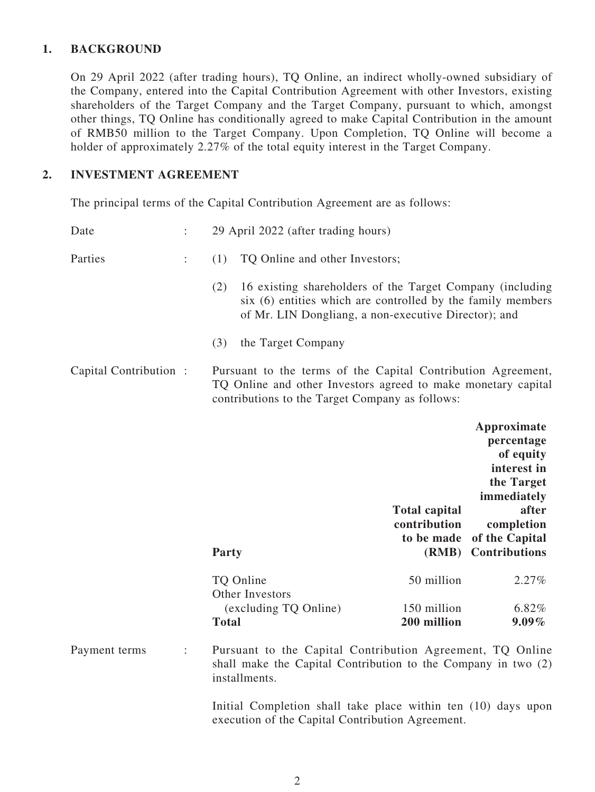#### **1. BACKGROUND**

On 29 April 2022 (after trading hours), TQ Online, an indirect wholly-owned subsidiary of the Company, entered into the Capital Contribution Agreement with other Investors, existing shareholders of the Target Company and the Target Company, pursuant to which, amongst other things, TQ Online has conditionally agreed to make Capital Contribution in the amount of RMB50 million to the Target Company. Upon Completion, TQ Online will become a holder of approximately 2.27% of the total equity interest in the Target Company.

#### **2. INVESTMENT AGREEMENT**

The principal terms of the Capital Contribution Agreement are as follows:

| Date                  |                | 29 April 2022 (after trading hours)                                                                                                                                                     |                                                             |                                                                                                                                                     |
|-----------------------|----------------|-----------------------------------------------------------------------------------------------------------------------------------------------------------------------------------------|-------------------------------------------------------------|-----------------------------------------------------------------------------------------------------------------------------------------------------|
| Parties               | $\ddot{\cdot}$ | (1)<br>TQ Online and other Investors;                                                                                                                                                   |                                                             |                                                                                                                                                     |
|                       |                | 16 existing shareholders of the Target Company (including<br>(2)<br>six (6) entities which are controlled by the family members<br>of Mr. LIN Dongliang, a non-executive Director); and |                                                             |                                                                                                                                                     |
|                       |                | (3)<br>the Target Company                                                                                                                                                               |                                                             |                                                                                                                                                     |
| Capital Contribution: |                | Pursuant to the terms of the Capital Contribution Agreement,<br>TQ Online and other Investors agreed to make monetary capital<br>contributions to the Target Company as follows:        |                                                             |                                                                                                                                                     |
|                       |                | <b>Party</b>                                                                                                                                                                            | <b>Total capital</b><br>contribution<br>to be made<br>(RMB) | Approximate<br>percentage<br>of equity<br>interest in<br>the Target<br>immediately<br>after<br>completion<br>of the Capital<br><b>Contributions</b> |
|                       |                | TQ Online<br>Other Investors                                                                                                                                                            | 50 million                                                  | 2.27%                                                                                                                                               |
|                       |                | (excluding TQ Online)<br><b>Total</b>                                                                                                                                                   | 150 million<br>200 million                                  | 6.82%<br>$9.09\%$                                                                                                                                   |
| Payment terms         | $\ddot{\cdot}$ | Pursuant to the Capital Contribution Agreement, TQ Online<br>shall make the Capital Contribution to the Company in two (2)<br>installments.                                             |                                                             |                                                                                                                                                     |

Initial Completion shall take place within ten (10) days upon execution of the Capital Contribution Agreement.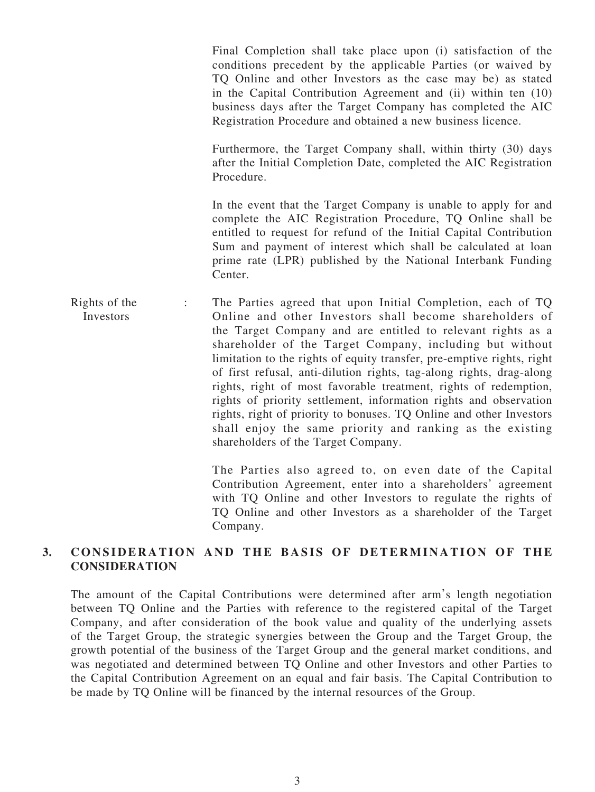Final Completion shall take place upon (i) satisfaction of the conditions precedent by the applicable Parties (or waived by TQ Online and other Investors as the case may be) as stated in the Capital Contribution Agreement and (ii) within ten (10) business days after the Target Company has completed the AIC Registration Procedure and obtained a new business licence.

Furthermore, the Target Company shall, within thirty (30) days after the Initial Completion Date, completed the AIC Registration Procedure.

In the event that the Target Company is unable to apply for and complete the AIC Registration Procedure, TQ Online shall be entitled to request for refund of the Initial Capital Contribution Sum and payment of interest which shall be calculated at loan prime rate (LPR) published by the National Interbank Funding Center.

Rights of the Investors : The Parties agreed that upon Initial Completion, each of TQ Online and other Investors shall become shareholders of the Target Company and are entitled to relevant rights as a shareholder of the Target Company, including but without limitation to the rights of equity transfer, pre-emptive rights, right of first refusal, anti-dilution rights, tag-along rights, drag-along rights, right of most favorable treatment, rights of redemption, rights of priority settlement, information rights and observation rights, right of priority to bonuses. TQ Online and other Investors shall enjoy the same priority and ranking as the existing shareholders of the Target Company.

> The Parties also agreed to, on even date of the Capital Contribution Agreement, enter into a shareholders' agreement with TQ Online and other Investors to regulate the rights of TQ Online and other Investors as a shareholder of the Target Company.

#### **3. CONSIDERATION AND THE BASIS OF DETERMINATION OF THE CONSIDERATION**

The amount of the Capital Contributions were determined after arm's length negotiation between TQ Online and the Parties with reference to the registered capital of the Target Company, and after consideration of the book value and quality of the underlying assets of the Target Group, the strategic synergies between the Group and the Target Group, the growth potential of the business of the Target Group and the general market conditions, and was negotiated and determined between TQ Online and other Investors and other Parties to the Capital Contribution Agreement on an equal and fair basis. The Capital Contribution to be made by TQ Online will be financed by the internal resources of the Group.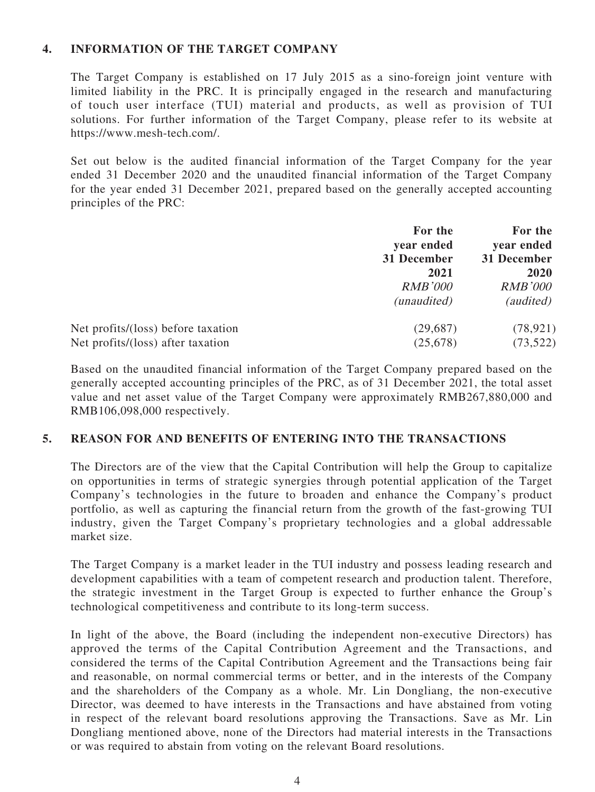#### **4. INFORMATION OF THE TARGET COMPANY**

The Target Company is established on 17 July 2015 as a sino-foreign joint venture with limited liability in the PRC. It is principally engaged in the research and manufacturing of touch user interface (TUI) material and products, as well as provision of TUI solutions. For further information of the Target Company, please refer to its website at https://www.mesh-tech.com/.

Set out below is the audited financial information of the Target Company for the year ended 31 December 2020 and the unaudited financial information of the Target Company for the year ended 31 December 2021, prepared based on the generally accepted accounting principles of the PRC:

|                                    | For the<br>year ended<br>31 December<br>2021<br><b>RMB'000</b><br>(unaudited) | For the<br>year ended<br>31 December<br>2020<br><b>RMB'000</b><br>(audited) |
|------------------------------------|-------------------------------------------------------------------------------|-----------------------------------------------------------------------------|
|                                    |                                                                               |                                                                             |
|                                    |                                                                               |                                                                             |
|                                    |                                                                               |                                                                             |
|                                    |                                                                               |                                                                             |
| Net profits/(loss) before taxation | (29,687)                                                                      | (78, 921)                                                                   |
| Net profits/(loss) after taxation  | (25, 678)                                                                     | (73, 522)                                                                   |

Based on the unaudited financial information of the Target Company prepared based on the generally accepted accounting principles of the PRC, as of 31 December 2021, the total asset value and net asset value of the Target Company were approximately RMB267,880,000 and RMB106,098,000 respectively.

#### **5. REASON FOR AND BENEFITS OF ENTERING INTO THE TRANSACTIONS**

The Directors are of the view that the Capital Contribution will help the Group to capitalize on opportunities in terms of strategic synergies through potential application of the Target Company's technologies in the future to broaden and enhance the Company's product portfolio, as well as capturing the financial return from the growth of the fast-growing TUI industry, given the Target Company's proprietary technologies and a global addressable market size.

The Target Company is a market leader in the TUI industry and possess leading research and development capabilities with a team of competent research and production talent. Therefore, the strategic investment in the Target Group is expected to further enhance the Group's technological competitiveness and contribute to its long-term success.

In light of the above, the Board (including the independent non-executive Directors) has approved the terms of the Capital Contribution Agreement and the Transactions, and considered the terms of the Capital Contribution Agreement and the Transactions being fair and reasonable, on normal commercial terms or better, and in the interests of the Company and the shareholders of the Company as a whole. Mr. Lin Dongliang, the non-executive Director, was deemed to have interests in the Transactions and have abstained from voting in respect of the relevant board resolutions approving the Transactions. Save as Mr. Lin Dongliang mentioned above, none of the Directors had material interests in the Transactions or was required to abstain from voting on the relevant Board resolutions.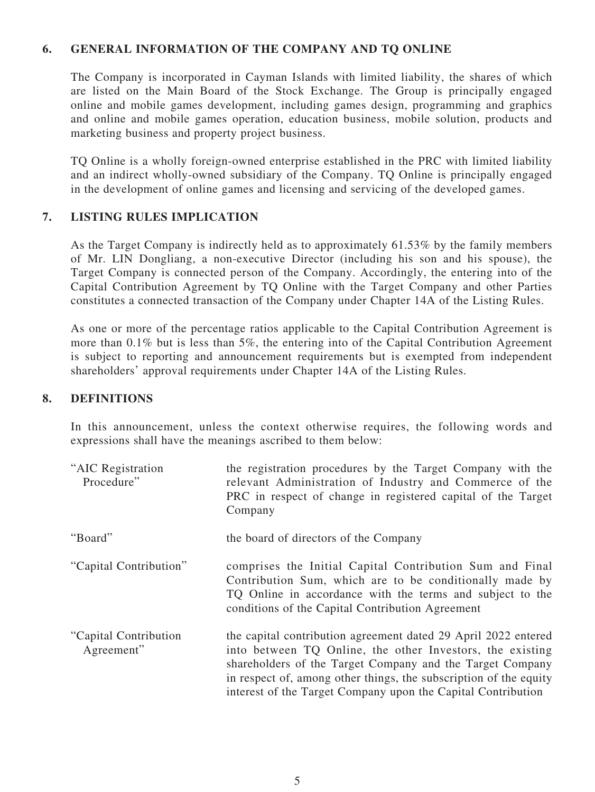#### **6. GENERAL INFORMATION OF THE COMPANY AND TQ ONLINE**

The Company is incorporated in Cayman Islands with limited liability, the shares of which are listed on the Main Board of the Stock Exchange. The Group is principally engaged online and mobile games development, including games design, programming and graphics and online and mobile games operation, education business, mobile solution, products and marketing business and property project business.

TQ Online is a wholly foreign-owned enterprise established in the PRC with limited liability and an indirect wholly-owned subsidiary of the Company. TO Online is principally engaged in the development of online games and licensing and servicing of the developed games.

#### **7. LISTING RULES IMPLICATION**

As the Target Company is indirectly held as to approximately 61.53% by the family members of Mr. LIN Dongliang, a non-executive Director (including his son and his spouse), the Target Company is connected person of the Company. Accordingly, the entering into of the Capital Contribution Agreement by TQ Online with the Target Company and other Parties constitutes a connected transaction of the Company under Chapter 14A of the Listing Rules.

As one or more of the percentage ratios applicable to the Capital Contribution Agreement is more than 0.1% but is less than 5%, the entering into of the Capital Contribution Agreement is subject to reporting and announcement requirements but is exempted from independent shareholders' approval requirements under Chapter 14A of the Listing Rules.

#### **8. DEFINITIONS**

In this announcement, unless the context otherwise requires, the following words and expressions shall have the meanings ascribed to them below:

| "AIC Registration"<br>Procedure"     | the registration procedures by the Target Company with the<br>relevant Administration of Industry and Commerce of the<br>PRC in respect of change in registered capital of the Target<br>Company                                                                                                                              |
|--------------------------------------|-------------------------------------------------------------------------------------------------------------------------------------------------------------------------------------------------------------------------------------------------------------------------------------------------------------------------------|
| "Board"                              | the board of directors of the Company                                                                                                                                                                                                                                                                                         |
| "Capital Contribution"               | comprises the Initial Capital Contribution Sum and Final<br>Contribution Sum, which are to be conditionally made by<br>TQ Online in accordance with the terms and subject to the<br>conditions of the Capital Contribution Agreement                                                                                          |
| "Capital Contribution"<br>Agreement" | the capital contribution agreement dated 29 April 2022 entered<br>into between TQ Online, the other Investors, the existing<br>shareholders of the Target Company and the Target Company<br>in respect of, among other things, the subscription of the equity<br>interest of the Target Company upon the Capital Contribution |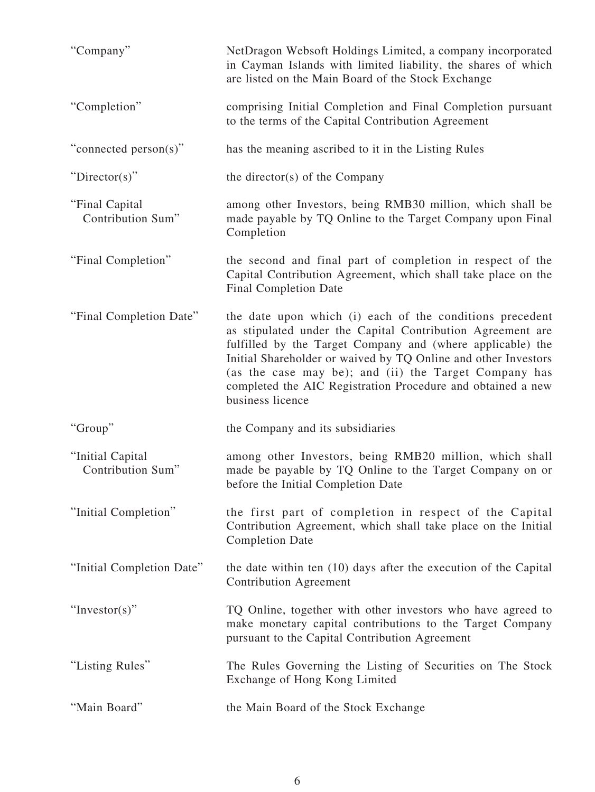| "Company"                             | NetDragon Websoft Holdings Limited, a company incorporated<br>in Cayman Islands with limited liability, the shares of which<br>are listed on the Main Board of the Stock Exchange                                                                                                                                                                                                                  |
|---------------------------------------|----------------------------------------------------------------------------------------------------------------------------------------------------------------------------------------------------------------------------------------------------------------------------------------------------------------------------------------------------------------------------------------------------|
| "Completion"                          | comprising Initial Completion and Final Completion pursuant<br>to the terms of the Capital Contribution Agreement                                                                                                                                                                                                                                                                                  |
| "connected person(s)"                 | has the meaning ascribed to it in the Listing Rules                                                                                                                                                                                                                                                                                                                                                |
| "Director(s)"                         | the director(s) of the Company                                                                                                                                                                                                                                                                                                                                                                     |
| "Final Capital<br>Contribution Sum"   | among other Investors, being RMB30 million, which shall be<br>made payable by TQ Online to the Target Company upon Final<br>Completion                                                                                                                                                                                                                                                             |
| "Final Completion"                    | the second and final part of completion in respect of the<br>Capital Contribution Agreement, which shall take place on the<br><b>Final Completion Date</b>                                                                                                                                                                                                                                         |
| "Final Completion Date"               | the date upon which (i) each of the conditions precedent<br>as stipulated under the Capital Contribution Agreement are<br>fulfilled by the Target Company and (where applicable) the<br>Initial Shareholder or waived by TQ Online and other Investors<br>(as the case may be); and (ii) the Target Company has<br>completed the AIC Registration Procedure and obtained a new<br>business licence |
| "Group"                               | the Company and its subsidiaries                                                                                                                                                                                                                                                                                                                                                                   |
| "Initial Capital<br>Contribution Sum" | among other Investors, being RMB20 million, which shall<br>made be payable by TQ Online to the Target Company on or<br>before the Initial Completion Date                                                                                                                                                                                                                                          |
| "Initial Completion"                  | the first part of completion in respect of the Capital<br>Contribution Agreement, which shall take place on the Initial<br><b>Completion Date</b>                                                                                                                                                                                                                                                  |
| "Initial Completion Date"             | the date within ten (10) days after the execution of the Capital<br><b>Contribution Agreement</b>                                                                                                                                                                                                                                                                                                  |
| "Investor(s)"                         | TQ Online, together with other investors who have agreed to<br>make monetary capital contributions to the Target Company<br>pursuant to the Capital Contribution Agreement                                                                                                                                                                                                                         |
| "Listing Rules"                       | The Rules Governing the Listing of Securities on The Stock<br>Exchange of Hong Kong Limited                                                                                                                                                                                                                                                                                                        |
| "Main Board"                          | the Main Board of the Stock Exchange                                                                                                                                                                                                                                                                                                                                                               |